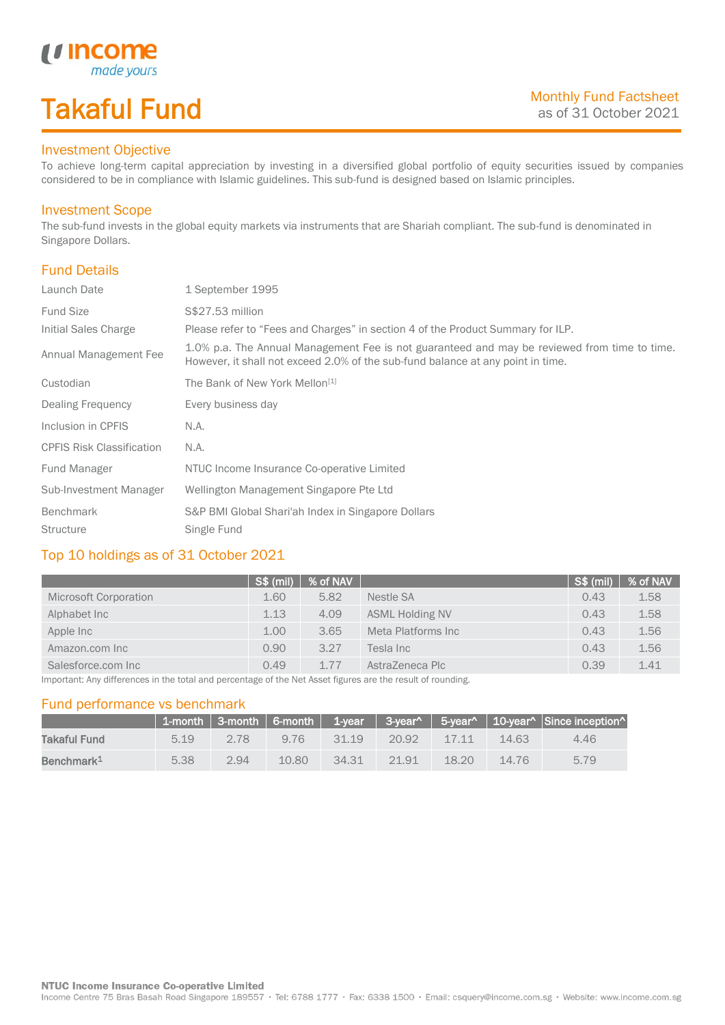# Takaful Fund

made your.

### Investment Objective

*u* Income

To achieve long-term capital appreciation by investing in a diversified global portfolio of equity securities issued by companies considered to be in compliance with Islamic guidelines. This sub-fund is designed based on Islamic principles.

#### Investment Scope

The sub-fund invests in the global equity markets via instruments that are Shariah compliant. The sub-fund is denominated in Singapore Dollars.

### Fund Details

I

| Launch Date                      | 1 September 1995                                                                                                                                                                |
|----------------------------------|---------------------------------------------------------------------------------------------------------------------------------------------------------------------------------|
| <b>Fund Size</b>                 | S\$27.53 million                                                                                                                                                                |
| Initial Sales Charge             | Please refer to "Fees and Charges" in section 4 of the Product Summary for ILP.                                                                                                 |
| Annual Management Fee            | 1.0% p.a. The Annual Management Fee is not guaranteed and may be reviewed from time to time.<br>However, it shall not exceed 2.0% of the sub-fund balance at any point in time. |
| Custodian                        | The Bank of New York Mellon <sup>[1]</sup>                                                                                                                                      |
| Dealing Frequency                | Every business day                                                                                                                                                              |
| Inclusion in CPFIS               | N.A.                                                                                                                                                                            |
| <b>CPFIS Risk Classification</b> | N.A.                                                                                                                                                                            |
| Fund Manager                     | NTUC Income Insurance Co-operative Limited                                                                                                                                      |
| Sub-Investment Manager           | Wellington Management Singapore Pte Ltd                                                                                                                                         |
| <b>Benchmark</b>                 | S&P BMI Global Shari'ah Index in Singapore Dollars                                                                                                                              |
| <b>Structure</b>                 | Single Fund                                                                                                                                                                     |

### Top 10 holdings as of 31 October 2021

|                       | <sup>1</sup> S\$ (mil) | % of NAV |                        | S\$ (mil) | % of NAV |
|-----------------------|------------------------|----------|------------------------|-----------|----------|
| Microsoft Corporation | 1.60                   | 5.82     | Nestle SA              | 0.43      | 1.58     |
| Alphabet Inc          | 1.13                   | 4.09     | <b>ASML Holding NV</b> | 0.43      | 1.58     |
| Apple Inc             | 1.00                   | 3.65     | Meta Platforms Inc     | 0.43      | 1.56     |
| Amazon.com Inc        | 0.90                   | 3.27     | Tesla Inc              | 0.43      | 1.56     |
| Salesforce.com Inc    | 0.49                   | 1.77     | AstraZeneca Plc        | 0.39      | 1.41     |

Important: Any differences in the total and percentage of the Net Asset figures are the result of rounding.

#### Fund performance vs benchmark

|                        |      |      |       |       |          |       |       | 1-month   3-month   6-month   1-year   3-year^   5-year^   10-year^   Since inception^ |
|------------------------|------|------|-------|-------|----------|-------|-------|----------------------------------------------------------------------------------------|
| Takaful Fund           | 5.19 | 2.78 | 976   | 31 19 | $-20.92$ | 17.11 | 14.63 | 4.46                                                                                   |
| Benchmark <sup>1</sup> | 5.38 | 2.94 | 10.80 | 34.31 | 2191     | 18.20 | 14.76 | 5.79                                                                                   |

Income Centre 75 Bras Basah Road Singapore 189557 · Tel: 6788 1777 · Fax: 6338 1500 · Email: csquery@income.com.sg · Website: www.income.com.sg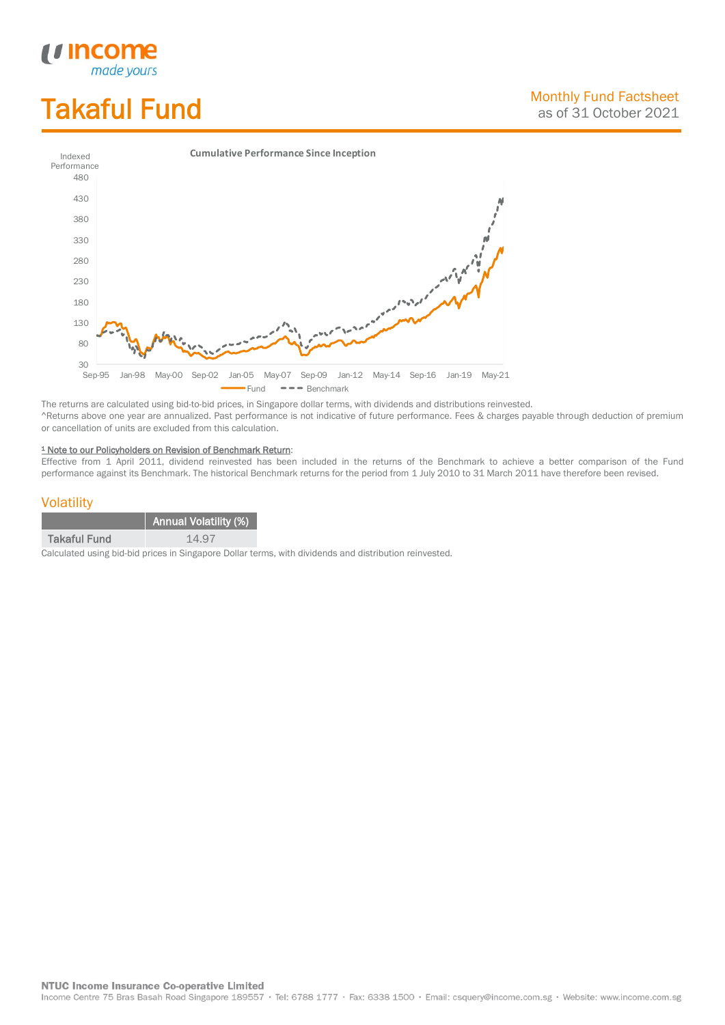# Takaful Fund

*<u>Income</u>*<br>made yours

I



The returns are calculated using bid-to-bid prices, in Singapore dollar terms, with dividends and distributions reinvested. ^Returns above one year are annualized. Past performance is not indicative of future performance. Fees & charges payable through deduction of premium or cancellation of units are excluded from this calculation.

#### <sup>1</sup> Note to our Policyholders on Revision of Benchmark Return:

Effective from 1 April 2011, dividend reinvested has been included in the returns of the Benchmark to achieve a better comparison of the Fund performance against its Benchmark. The historical Benchmark returns for the period from 1 July 2010 to 31 March 2011 have therefore been revised.

#### **Volatility**

|                     | <b>Annual Volatility (%)</b> |
|---------------------|------------------------------|
| <b>Takaful Fund</b> | 14.97                        |

Calculated using bid-bid prices in Singapore Dollar terms, with dividends and distribution reinvested.

**NTUC Income Insurance Co-operative Limited** 

Income Centre 75 Bras Basah Road Singapore 189557 · Tel: 6788 1777 · Fax: 6338 1500 · Email: csquery@income.com.sg · Website: www.income.com.sg